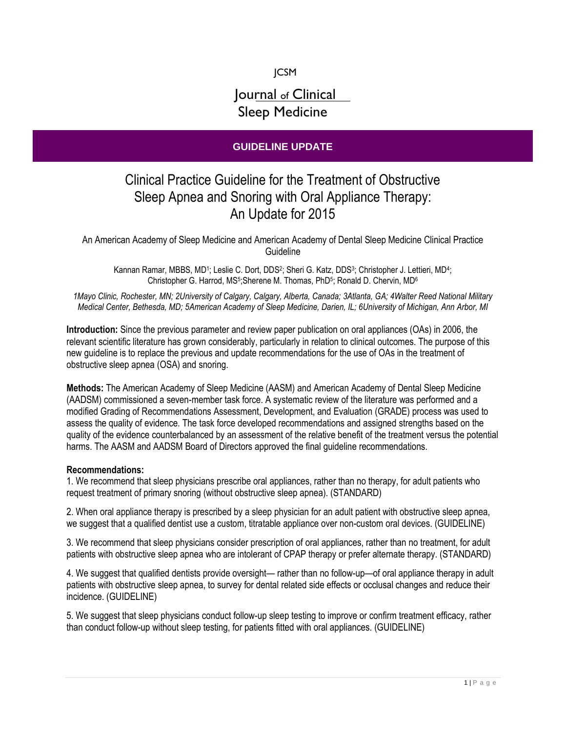JCSM

## Journal of Clinical Sleep Medicine

## **GUIDELINE UPDATE**

## Clinical Practice Guideline for the Treatment of Obstructive Sleep Apnea and Snoring with Oral Appliance Therapy: An Update for 2015

An American Academy of Sleep Medicine and American Academy of Dental Sleep Medicine Clinical Practice Guideline

Kannan Ramar, MBBS, MD1; Leslie C. Dort, DDS<sup>2</sup>; Sheri G. Katz, DDS<sup>3</sup>; Christopher J. Lettieri, MD<sup>4</sup>; Christopher G. Harrod, MS<sup>5</sup>;Sherene M. Thomas, PhD<sup>5</sup>; Ronald D. Chervin, MD<sup>6</sup>

*1Mayo Clinic, Rochester, MN; 2University of Calgary, Calgary, Alberta, Canada; 3Atlanta, GA; 4Walter Reed National Military Medical Center, Bethesda, MD; 5American Academy of Sleep Medicine, Darien, IL; 6University of Michigan, Ann Arbor, MI*

**Introduction:** Since the previous parameter and review paper publication on oral appliances (OAs) in 2006, the relevant scientific literature has grown considerably, particularly in relation to clinical outcomes. The purpose of this new guideline is to replace the previous and update recommendations for the use of OAs in the treatment of obstructive sleep apnea (OSA) and snoring.

**Methods:** The American Academy of Sleep Medicine (AASM) and American Academy of Dental Sleep Medicine (AADSM) commissioned a seven-member task force. A systematic review of the literature was performed and a modified Grading of Recommendations Assessment, Development, and Evaluation (GRADE) process was used to assess the quality of evidence. The task force developed recommendations and assigned strengths based on the quality of the evidence counterbalanced by an assessment of the relative benefit of the treatment versus the potential harms. The AASM and AADSM Board of Directors approved the final guideline recommendations.

## **Recommendations:**

1. We recommend that sleep physicians prescribe oral appliances, rather than no therapy, for adult patients who request treatment of primary snoring (without obstructive sleep apnea). (STANDARD)

2. When oral appliance therapy is prescribed by a sleep physician for an adult patient with obstructive sleep apnea, we suggest that a qualified dentist use a custom, titratable appliance over non-custom oral devices. (GUIDELINE)

3. We recommend that sleep physicians consider prescription of oral appliances, rather than no treatment, for adult patients with obstructive sleep apnea who are intolerant of CPAP therapy or prefer alternate therapy. (STANDARD)

4. We suggest that qualified dentists provide oversight— rather than no follow-up—of oral appliance therapy in adult patients with obstructive sleep apnea, to survey for dental related side effects or occlusal changes and reduce their incidence. (GUIDELINE)

5. We suggest that sleep physicians conduct follow-up sleep testing to improve or confirm treatment efficacy, rather than conduct follow-up without sleep testing, for patients fitted with oral appliances. (GUIDELINE)